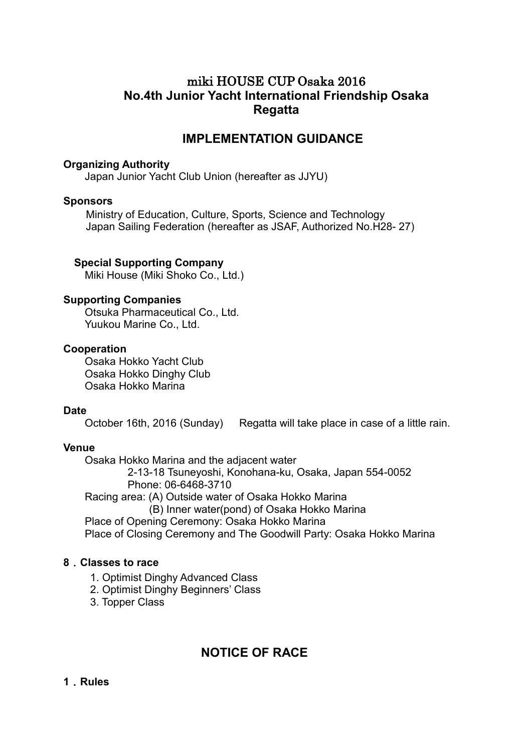# miki HOUSE CUP Osaka 2016 **No.4th Junior Yacht International Friendship Osaka Regatta**

# **IMPLEMENTATION GUIDANCE**

#### **Organizing Authority**

Japan Junior Yacht Club Union (hereafter as JJYU)

#### **Sponsors**

Ministry of Education, Culture, Sports, Science and Technology Japan Sailing Federation (hereafter as JSAF, Authorized No.H28- 27)

#### **Special Supporting Company**

Miki House (Miki Shoko Co., Ltd.)

#### **Supporting Companies**

Otsuka Pharmaceutical Co., Ltd. Yuukou Marine Co., Ltd.

#### **Cooperation**

Osaka Hokko Yacht Club Osaka Hokko Dinghy Club Osaka Hokko Marina

#### **Date**

October 16th, 2016 (Sunday) Regatta will take place in case of a little rain.

#### **Venue**

Osaka Hokko Marina and the adjacent water

2-13-18 Tsuneyoshi, Konohana-ku, Osaka, Japan 554-0052 Phone: 06-6468-3710

Racing area: (A) Outside water of Osaka Hokko Marina

(B) Inner water(pond) of Osaka Hokko Marina

Place of Opening Ceremony: Osaka Hokko Marina

Place of Closing Ceremony and The Goodwill Party: Osaka Hokko Marina

### **8**.**Classes to race**

- 1. Optimist Dinghy Advanced Class
- 2. Optimist Dinghy Beginners' Class
- 3. Topper Class

# **NOTICE OF RACE**

**1**.**Rules**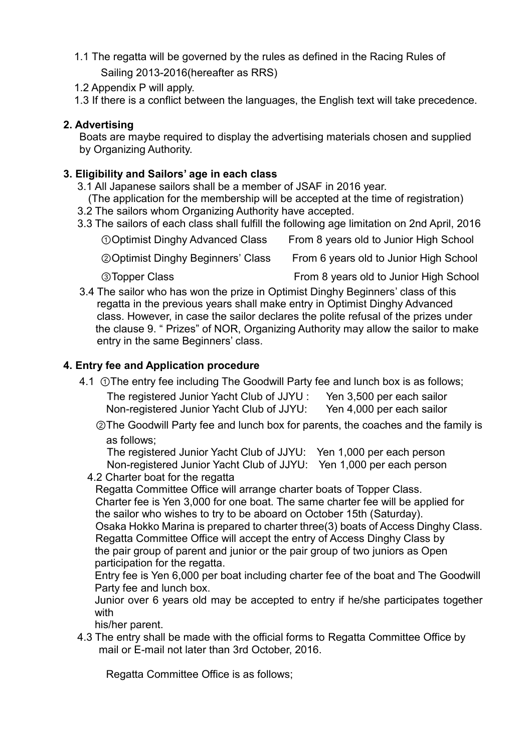- 1.1 The regatta will be governed by the rules as defined in the Racing Rules of Sailing 2013‐2016(hereafter as RRS)
- 1.2 Appendix P will apply.
- 1.3 If there is a conflict between the languages, the English text will take precedence.

## **2. Advertising**

Boats are maybe required to display the advertising materials chosen and supplied by Organizing Authority.

### **3. Eligibility and Sailors' age in each class**

- 3.1 All Japanese sailors shall be a member of JSAF in 2016 year.
	- (The application for the membership will be accepted at the time of registration)
- 3.2 The sailors whom Organizing Authority have accepted.
- 3.3 The sailors of each class shall fulfill the following age limitation on 2nd April, 2016

①Optimist Dinghy Advanced Class From 8 years old to Junior High School

②Optimist Dinghy Beginners' Class From 6 years old to Junior High School

- 
- ③Topper Class From 8 years old to Junior High School
- 3.4 The sailor who has won the prize in Optimist Dinghy Beginners' class of this regatta in the previous years shall make entry in Optimist Dinghy Advanced class. However, in case the sailor declares the polite refusal of the prizes under the clause 9. " Prizes" of NOR, Organizing Authority may allow the sailor to make entry in the same Beginners' class.

## **4. Entry fee and Application procedure**

- 4.1 ①The entry fee including The Goodwill Party fee and lunch box is as follows; The registered Junior Yacht Club of JJYU : Yen 3,500 per each sailor Non-registered Junior Yacht Club of JJYU: Yen 4,000 per each sailor
	- ②The Goodwill Party fee and lunch box for parents, the coaches and the family is as follows;

The registered Junior Yacht Club of JJYU: Yen 1,000 per each person Non-registered Junior Yacht Club of JJYU: Yen 1,000 per each person

4.2 Charter boat for the regatta

Regatta Committee Office will arrange charter boats of Topper Class.

Charter fee is Yen 3,000 for one boat. The same charter fee will be applied for the sailor who wishes to try to be aboard on October 15th (Saturday).

Osaka Hokko Marina is prepared to charter three(3) boats of Access Dinghy Class. Regatta Committee Office will accept the entry of Access Dinghy Class by the pair group of parent and junior or the pair group of two juniors as Open participation for the regatta.

Entry fee is Yen 6,000 per boat including charter fee of the boat and The Goodwill Party fee and lunch box.

Junior over 6 years old may be accepted to entry if he/she participates together with

his/her parent.

4.3 The entry shall be made with the official forms to Regatta Committee Office by mail or E-mail not later than 3rd October, 2016.

Regatta Committee Office is as follows;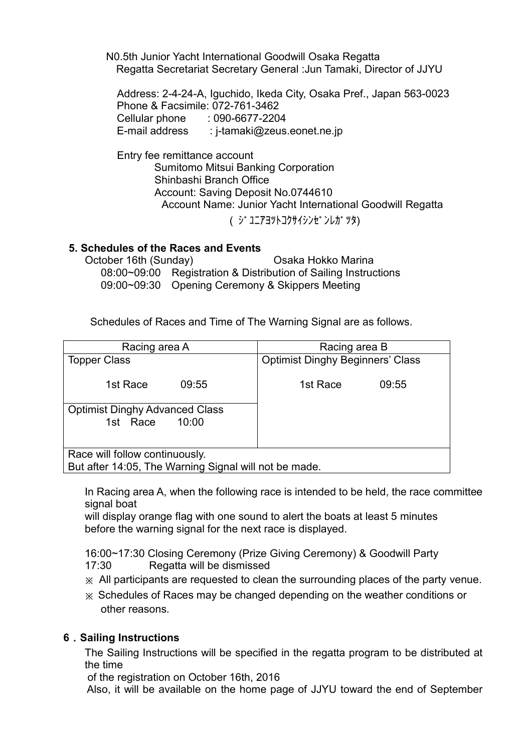N0.5th Junior Yacht International Goodwill Osaka Regatta Regatta Secretariat Secretary General :Jun Tamaki, Director of JJYU

 Address: 2-4-24-A, Iguchido, Ikeda City, Osaka Pref., Japan 563-0023 Phone & Facsimile: 072-761-3462 Cellular phone : 090-6677-2204 E-mail address : j-tamaki@zeus.eonet.ne.jp

**Entry fee remittance account** Sumitomo Mitsui Banking Corporation Shinbashi Branch Office Account: Saving Deposit No.0744610 Account Name: Junior Yacht International Goodwill Regatta ( ジ ユニアヨツトコクサイシンゼンレガツタ)

#### **5. Schedules of the Races and Events**

October 16th (Sunday) **Canadary** Osaka Hokko Marina 08:00~09:00 Registration & Distribution of Sailing Instructions 09:00~09:30 Opening Ceremony & Skippers Meeting

Schedules of Races and Time of The Warning Signal are as follows.

| Racing area A                                                                           | Racing area B                           |
|-----------------------------------------------------------------------------------------|-----------------------------------------|
| <b>Topper Class</b>                                                                     | <b>Optimist Dinghy Beginners' Class</b> |
| 1st Race<br>09:55                                                                       | 1st Race<br>09:55                       |
| <b>Optimist Dinghy Advanced Class</b><br>1st Race<br>10:00                              |                                         |
| Race will follow continuously.<br>But after 14:05, The Warning Signal will not be made. |                                         |

In Racing area A, when the following race is intended to be held, the race committee signal boat

will display orange flag with one sound to alert the boats at least 5 minutes before the warning signal for the next race is displayed.

 16:00~17:30 Closing Ceremony (Prize Giving Ceremony) & Goodwill Party 17:30 Regatta will be dismissed

- ※ All participants are requested to clean the surrounding places of the party venue.
- ※ Schedules of Races may be changed depending on the weather conditions or other reasons.

## **6**.**Sailing Instructions**

The Sailing Instructions will be specified in the regatta program to be distributed at the time

of the registration on October 16th, 2016

Also, it will be available on the home page of JJYU toward the end of September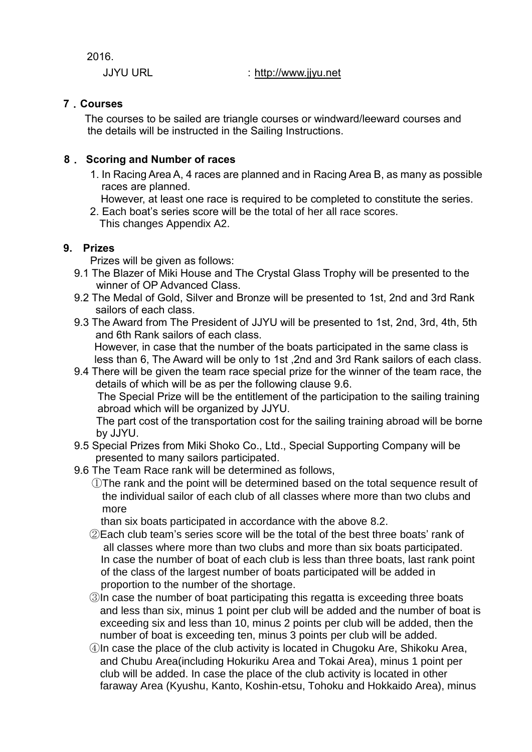2016.

JJYU URL :[http://www.jjyu.net](http://www.jjyu.net/)

### **7**.**Courses**

The courses to be sailed are triangle courses or windward/leeward courses and the details will be instructed in the Sailing Instructions.

## **8**. **Scoring and Number of races**

- 1. In Racing Area A, 4 races are planned and in Racing Area B, as many as possible races are planned.
	- However, at least one race is required to be completed to constitute the series.
- 2. Each boat's series score will be the total of her all race scores. This changes Appendix A2.

#### **9. Prizes**

Prizes will be given as follows:

- 9.1 The Blazer of Miki House and The Crystal Glass Trophy will be presented to the winner of OP Advanced Class.
- 9.2 The Medal of Gold, Silver and Bronze will be presented to 1st, 2nd and 3rd Rank sailors of each class.
- 9.3 The Award from The President of JJYU will be presented to 1st, 2nd, 3rd, 4th, 5th and 6th Rank sailors of each class. However, in case that the number of the boats participated in the same class is less than 6, The Award will be only to 1st ,2nd and 3rd Rank sailors of each class.
- 9.4 There will be given the team race special prize for the winner of the team race, the details of which will be as per the following clause 9.6. The Special Prize will be the entitlement of the participation to the sailing training abroad which will be organized by JJYU. The part cost of the transportation cost for the sailing training abroad will be borne by JJYU.
- 9.5 Special Prizes from Miki Shoko Co., Ltd., Special Supporting Company will be presented to many sailors participated.
- 9.6 The Team Race rank will be determined as follows,
	- ①The rank and the point will be determined based on the total sequence result of the individual sailor of each club of all classes where more than two clubs and more

than six boats participated in accordance with the above 8.2.

- ②Each club team's series score will be the total of the best three boats' rank of all classes where more than two clubs and more than six boats participated. In case the number of boat of each club is less than three boats, last rank point of the class of the largest number of boats participated will be added in proportion to the number of the shortage.
- ③In case the number of boat participating this regatta is exceeding three boats and less than six, minus 1 point per club will be added and the number of boat is exceeding six and less than 10, minus 2 points per club will be added, then the number of boat is exceeding ten, minus 3 points per club will be added.
- ④In case the place of the club activity is located in Chugoku Are, Shikoku Area, and Chubu Area(including Hokuriku Area and Tokai Area), minus 1 point per club will be added. In case the place of the club activity is located in other faraway Area (Kyushu, Kanto, Koshin-etsu, Tohoku and Hokkaido Area), minus